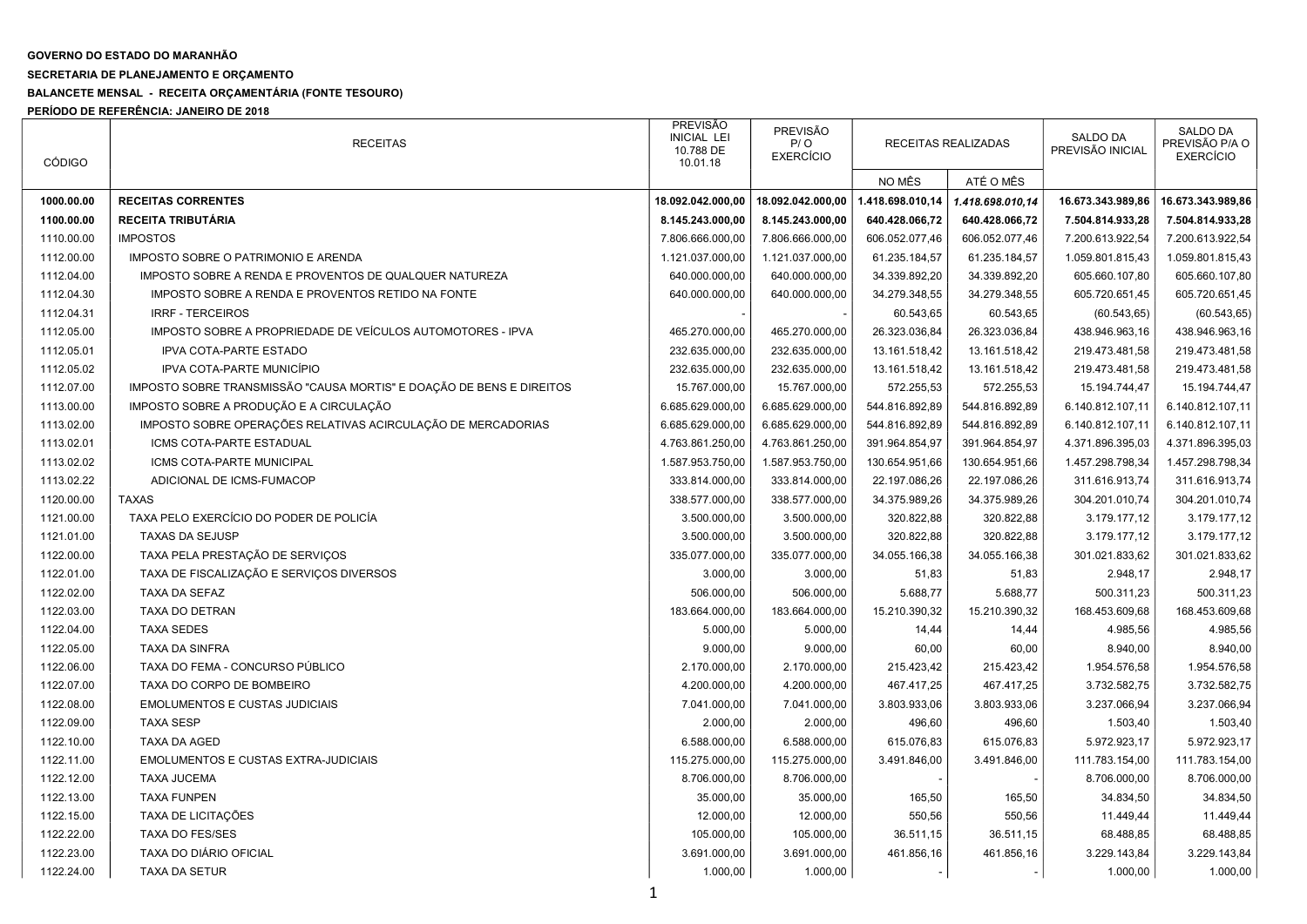## GOVERNO DO ESTADO DO MARANHÃO

## SECRETARIA DE PLANEJAMENTO E ORÇAMENTO

## BALANCETE MENSAL - RECEITA ORÇAMENTÁRIA (FONTE TESOURO)

PERÍODO DE REFERÊNCIA: JANEIRO DE 2018

| <b>CÓDIGO</b> | <b>RECEITAS</b>                                                      | PREVISÃO<br><b>INICIAL LEI</b><br>10.788 DE<br>10.01.18 | <b>PREVISÃO</b><br>P / O<br><b>EXERCÍCIO</b> | RECEITAS REALIZADAS |                          | SALDO DA<br>PREVISÃO INICIAL | <b>SALDO DA</b><br>PREVISÃO P/A O<br><b>EXERCÍCIO</b> |
|---------------|----------------------------------------------------------------------|---------------------------------------------------------|----------------------------------------------|---------------------|--------------------------|------------------------------|-------------------------------------------------------|
|               |                                                                      |                                                         |                                              | NO MÊS              | ATÉ O MÊS                |                              |                                                       |
| 1000.00.00    | <b>RECEITAS CORRENTES</b>                                            | 18.092.042.000,00                                       | 18.092.042.000,00                            | 1.418.698.010,14    | 1.418.698.010,14         | 16.673.343.989,86            | 16.673.343.989,86                                     |
| 1100.00.00    | <b>RECEITA TRIBUTÁRIA</b>                                            | 8.145.243.000,00                                        | 8.145.243.000,00                             | 640.428.066,72      | 640.428.066,72           | 7.504.814.933,28             | 7.504.814.933,28                                      |
| 1110.00.00    | <b>IMPOSTOS</b>                                                      | 7.806.666.000,00                                        | 7.806.666.000,00                             | 606.052.077,46      | 606.052.077,46           | 7.200.613.922,54             | 7.200.613.922,54                                      |
| 1112.00.00    | IMPOSTO SOBRE O PATRIMONIO E ARENDA                                  | 1.121.037.000,00                                        | 1.121.037.000,00                             | 61.235.184,57       | 61.235.184,57            | 1.059.801.815,43             | 1.059.801.815,43                                      |
| 1112.04.00    | IMPOSTO SOBRE A RENDA E PROVENTOS DE QUALQUER NATUREZA               | 640.000.000,00                                          | 640.000.000,00                               | 34.339.892,20       | 34.339.892,20            | 605.660.107,80               | 605.660.107,80                                        |
| 1112.04.30    | IMPOSTO SOBRE A RENDA E PROVENTOS RETIDO NA FONTE                    | 640.000.000,00                                          | 640.000.000,00                               | 34.279.348,55       | 34.279.348,55            | 605.720.651,45               | 605.720.651,45                                        |
| 1112.04.31    | <b>IRRF - TERCEIROS</b>                                              |                                                         |                                              | 60.543,65           | 60.543,65                | (60.543, 65)                 | (60.543, 65)                                          |
| 1112.05.00    | IMPOSTO SOBRE A PROPRIEDADE DE VEÍCULOS AUTOMOTORES - IPVA           | 465.270.000,00                                          | 465.270.000,00                               | 26.323.036,84       | 26.323.036,84            | 438.946.963,16               | 438.946.963,16                                        |
| 1112.05.01    | <b>IPVA COTA-PARTE ESTADO</b>                                        | 232.635.000,00                                          | 232.635.000,00                               | 13.161.518,42       | 13.161.518,42            | 219.473.481,58               | 219.473.481,58                                        |
| 1112.05.02    | IPVA COTA-PARTE MUNICÍPIO                                            | 232.635.000,00                                          | 232.635.000,00                               | 13.161.518,42       | 13.161.518,42            | 219.473.481,58               | 219.473.481,58                                        |
| 1112.07.00    | IMPOSTO SOBRE TRANSMISSÃO "CAUSA MORTIS" E DOAÇÃO DE BENS E DIREITOS | 15.767.000,00                                           | 15.767.000,00                                | 572.255,53          | 572.255,53               | 15.194.744,47                | 15.194.744,47                                         |
| 1113.00.00    | IMPOSTO SOBRE A PRODUÇÃO E A CIRCULAÇÃO                              | 6.685.629.000,00                                        | 6.685.629.000,00                             | 544.816.892,89      | 544.816.892,89           | 6.140.812.107,11             | 6.140.812.107,11                                      |
| 1113.02.00    | IMPOSTO SOBRE OPERAÇÕES RELATIVAS ACIRCULAÇÃO DE MERCADORIAS         | 6.685.629.000,00                                        | 6.685.629.000,00                             | 544.816.892,89      | 544.816.892,89           | 6.140.812.107,11             | 6.140.812.107,11                                      |
| 1113.02.01    | ICMS COTA-PARTE ESTADUAL                                             | 4.763.861.250,00                                        | 4.763.861.250,00                             | 391.964.854,97      | 391.964.854,97           | 4.371.896.395,03             | 4.371.896.395,03                                      |
| 1113.02.02    | ICMS COTA-PARTE MUNICIPAL                                            | 1.587.953.750,00                                        | 1.587.953.750,00                             | 130.654.951,66      | 130.654.951,66           | 1.457.298.798,34             | 1.457.298.798,34                                      |
| 1113.02.22    | ADICIONAL DE ICMS-FUMACOP                                            | 333.814.000,00                                          | 333.814.000,00                               | 22.197.086,26       | 22.197.086,26            | 311.616.913,74               | 311.616.913,74                                        |
| 1120.00.00    | <b>TAXAS</b>                                                         | 338.577.000,00                                          | 338.577.000,00                               | 34.375.989,26       | 34.375.989,26            | 304.201.010,74               | 304.201.010,74                                        |
| 1121.00.00    | TAXA PELO EXERCÍCIO DO PODER DE POLICÍA                              | 3.500.000,00                                            | 3.500.000,00                                 | 320.822,88          | 320.822,88               | 3.179.177,12                 | 3.179.177,12                                          |
| 1121.01.00    | <b>TAXAS DA SEJUSP</b>                                               | 3.500.000,00                                            | 3.500.000,00                                 | 320.822,88          | 320.822,88               | 3.179.177,12                 | 3.179.177,12                                          |
| 1122.00.00    | TAXA PELA PRESTAÇÃO DE SERVIÇOS                                      | 335.077.000,00                                          | 335.077.000,00                               | 34.055.166,38       | 34.055.166,38            | 301.021.833,62               | 301.021.833,62                                        |
| 1122.01.00    | TAXA DE FISCALIZAÇÃO E SERVIÇOS DIVERSOS                             | 3.000,00                                                | 3.000,00                                     | 51,83               | 51,83                    | 2.948,17                     | 2.948,17                                              |
| 1122.02.00    | TAXA DA SEFAZ                                                        | 506.000,00                                              | 506.000,00                                   | 5.688,77            | 5.688,77                 | 500.311,23                   | 500.311,23                                            |
| 1122.03.00    | <b>TAXA DO DETRAN</b>                                                | 183.664.000,00                                          | 183.664.000,00                               | 15.210.390,32       | 15.210.390,32            | 168.453.609,68               | 168.453.609,68                                        |
| 1122.04.00    | <b>TAXA SEDES</b>                                                    | 5.000,00                                                | 5.000,00                                     | 14,44               | 14,44                    | 4.985,56                     | 4.985,56                                              |
| 1122.05.00    | <b>TAXA DA SINFRA</b>                                                | 9.000,00                                                | 9.000,00                                     | 60,00               | 60,00                    | 8.940,00                     | 8.940,00                                              |
| 1122.06.00    | TAXA DO FEMA - CONCURSO PÚBLICO                                      | 2.170.000,00                                            | 2.170.000,00                                 | 215.423,42          | 215.423,42               | 1.954.576,58                 | 1.954.576,58                                          |
| 1122.07.00    | TAXA DO CORPO DE BOMBEIRO                                            | 4.200.000,00                                            | 4.200.000,00                                 | 467.417,25          | 467.417,25               | 3.732.582,75                 | 3.732.582,75                                          |
| 1122.08.00    | <b>EMOLUMENTOS E CUSTAS JUDICIAIS</b>                                | 7.041.000,00                                            | 7.041.000,00                                 | 3.803.933,06        | 3.803.933,06             | 3.237.066,94                 | 3.237.066,94                                          |
| 1122.09.00    | <b>TAXA SESP</b>                                                     | 2.000,00                                                | 2.000,00                                     | 496,60              | 496,60                   | 1.503,40                     | 1.503,40                                              |
| 1122.10.00    | TAXA DA AGED                                                         | 6.588.000,00                                            | 6.588.000,00                                 | 615.076,83          | 615.076,83               | 5.972.923,17                 | 5.972.923,17                                          |
| 1122.11.00    | <b>EMOLUMENTOS E CUSTAS EXTRA-JUDICIAIS</b>                          | 115.275.000,00                                          | 115.275.000,00                               | 3.491.846,00        | 3.491.846,00             | 111.783.154,00               | 111.783.154,00                                        |
| 1122.12.00    | <b>TAXA JUCEMA</b>                                                   | 8.706.000,00                                            | 8.706.000,00                                 |                     |                          | 8.706.000,00                 | 8.706.000,00                                          |
| 1122.13.00    | <b>TAXA FUNPEN</b>                                                   | 35.000,00                                               | 35.000,00                                    | 165,50              | 165,50                   | 34.834,50                    | 34.834,50                                             |
| 1122.15.00    | TAXA DE LICITAÇÕES                                                   | 12.000,00                                               | 12.000,00                                    | 550,56              | 550,56                   | 11.449,44                    | 11.449,44                                             |
| 1122.22.00    | <b>TAXA DO FES/SES</b>                                               | 105.000,00                                              | 105.000,00                                   | 36.511,15           | 36.511,15                | 68.488,85                    | 68.488,85                                             |
| 1122.23.00    | TAXA DO DIÁRIO OFICIAL                                               | 3.691.000,00                                            | 3.691.000,00                                 | 461.856,16          | 461.856,16               | 3.229.143,84                 | 3.229.143,84                                          |
| 1122.24.00    | <b>TAXA DA SETUR</b>                                                 | 1.000,00                                                | 1.000,00                                     | $\sim$              | $\overline{\phantom{a}}$ | 1.000,00                     | 1.000,00                                              |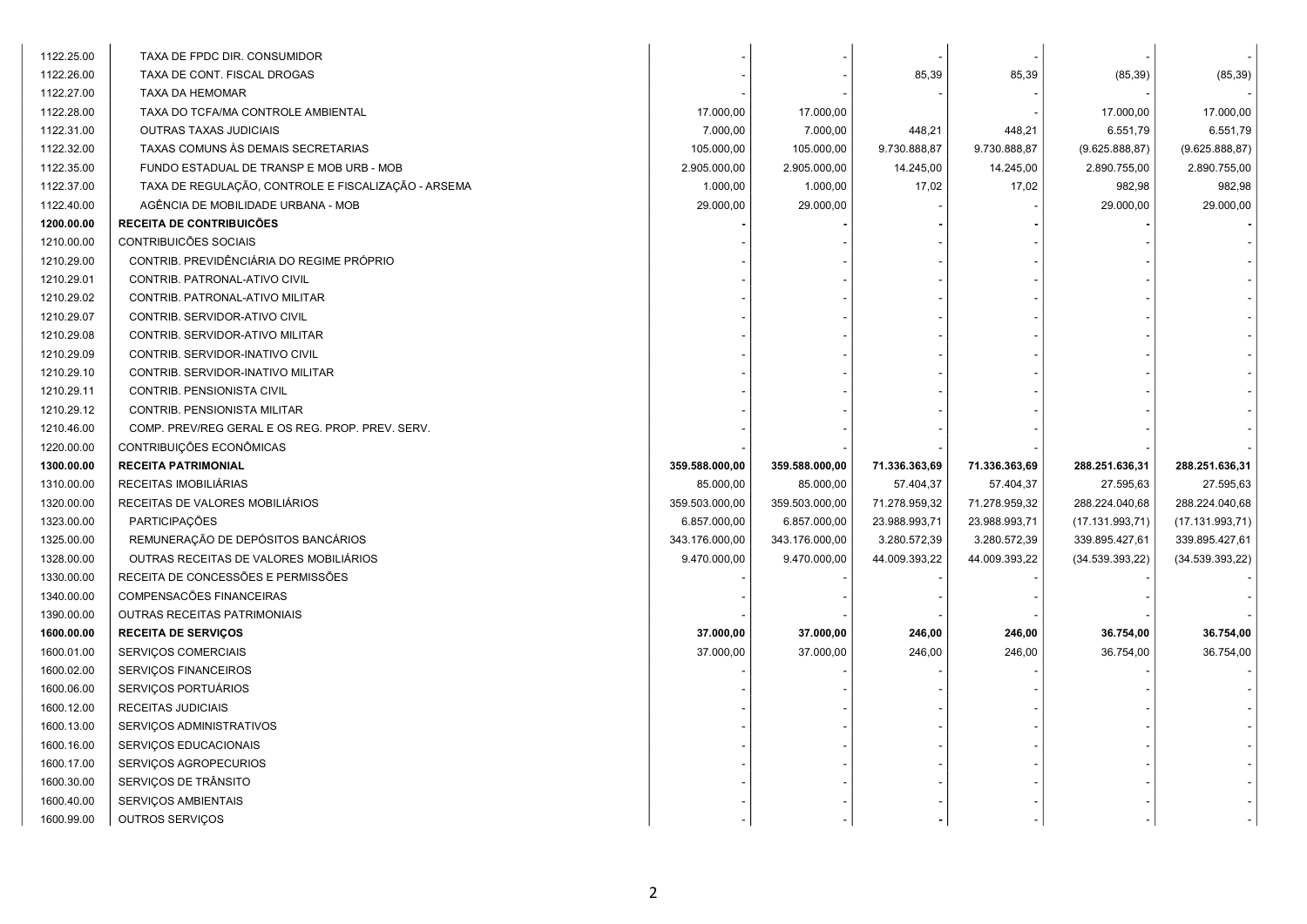| 1122.25.00 | TAXA DE FPDC DIR. CONSUMIDOR                        |                |                |               |               |                 |                 |
|------------|-----------------------------------------------------|----------------|----------------|---------------|---------------|-----------------|-----------------|
| 1122.26.00 | TAXA DE CONT. FISCAL DROGAS                         |                |                | 85,39         | 85,39         | (85, 39)        | (85, 39)        |
| 1122.27.00 | TAXA DA HEMOMAR                                     |                |                |               |               |                 |                 |
| 1122.28.00 | TAXA DO TCFA/MA CONTROLE AMBIENTAL                  | 17.000,00      | 17.000,00      |               |               | 17.000,00       | 17.000,00       |
| 1122.31.00 | OUTRAS TAXAS JUDICIAIS                              | 7.000,00       | 7.000,00       | 448,21        | 448,21        | 6.551,79        | 6.551,79        |
| 1122.32.00 | TAXAS COMUNS ÀS DEMAIS SECRETARIAS                  | 105.000,00     | 105.000,00     | 9.730.888,87  | 9.730.888,87  | (9.625.888, 87) | (9.625.888, 87) |
| 1122.35.00 | FUNDO ESTADUAL DE TRANSP E MOB URB - MOB            | 2.905.000,00   | 2.905.000,00   | 14.245,00     | 14.245,00     | 2.890.755,00    | 2.890.755,00    |
| 1122.37.00 | TAXA DE REGULAÇÃO, CONTROLE E FISCALIZAÇÃO - ARSEMA | 1.000,00       | 1.000,00       | 17,02         | 17,02         | 982,98          | 982,98          |
| 1122.40.00 | AGÊNCIA DE MOBILIDADE URBANA - MOB                  | 29.000,00      | 29.000,00      |               |               | 29.000,00       | 29.000,00       |
| 1200.00.00 | <b>RECEITA DE CONTRIBUICÕES</b>                     |                |                |               |               |                 |                 |
| 1210.00.00 | CONTRIBUICÕES SOCIAIS                               |                |                |               |               |                 |                 |
| 1210.29.00 | CONTRIB. PREVIDÊNCIÁRIA DO REGIME PRÓPRIO           |                |                |               |               |                 |                 |
| 1210.29.01 | CONTRIB. PATRONAL-ATIVO CIVIL                       |                |                |               |               |                 |                 |
| 1210.29.02 | CONTRIB. PATRONAL-ATIVO MILITAR                     |                |                |               |               |                 |                 |
| 1210.29.07 | CONTRIB. SERVIDOR-ATIVO CIVIL                       |                |                |               |               |                 |                 |
| 1210.29.08 | CONTRIB. SERVIDOR-ATIVO MILITAR                     |                |                |               |               |                 |                 |
| 1210.29.09 | CONTRIB. SERVIDOR-INATIVO CIVIL                     |                |                |               |               |                 |                 |
| 1210.29.10 | CONTRIB. SERVIDOR-INATIVO MILITAR                   |                |                |               |               |                 |                 |
| 1210.29.11 | CONTRIB. PENSIONISTA CIVIL                          |                |                |               |               |                 |                 |
| 1210.29.12 | CONTRIB. PENSIONISTA MILITAR                        |                |                |               |               |                 |                 |
| 1210.46.00 | COMP. PREV/REG GERAL E OS REG. PROP. PREV. SERV.    |                |                |               |               |                 |                 |
| 1220.00.00 | CONTRIBUIÇÕES ECONÔMICAS                            |                |                |               |               |                 |                 |
| 1300.00.00 | <b>RECEITA PATRIMONIAL</b>                          | 359.588.000,00 | 359.588.000,00 | 71.336.363,69 | 71.336.363,69 | 288.251.636,31  | 288.251.636,31  |
| 1310.00.00 | RECEITAS IMOBILIÁRIAS                               | 85.000,00      | 85.000,00      | 57.404,37     | 57.404,37     | 27.595,63       | 27.595,63       |
| 1320.00.00 | RECEITAS DE VALORES MOBILIÁRIOS                     | 359.503.000,00 | 359.503.000,00 | 71.278.959,32 | 71.278.959,32 | 288.224.040,68  | 288.224.040,68  |
| 1323.00.00 | PARTICIPAÇÕES                                       | 6.857.000,00   | 6.857.000,00   | 23.988.993,71 | 23.988.993,71 | (17.131.993,71) | (17.131.993,71) |
| 1325.00.00 | REMUNERAÇÃO DE DEPÓSITOS BANCÁRIOS                  | 343.176.000,00 | 343.176.000,00 | 3.280.572,39  | 3.280.572,39  | 339.895.427,61  | 339.895.427,61  |
| 1328.00.00 | OUTRAS RECEITAS DE VALORES MOBILIÁRIOS              | 9.470.000,00   | 9.470.000,00   | 44.009.393,22 | 44.009.393,22 | (34.539.393,22) | (34.539.393,22) |
| 1330.00.00 | RECEITA DE CONCESSÕES E PERMISSÕES                  |                |                |               |               |                 |                 |
| 1340.00.00 | COMPENSACÕES FINANCEIRAS                            |                |                |               |               |                 |                 |
| 1390.00.00 | <b>OUTRAS RECEITAS PATRIMONIAIS</b>                 |                |                |               |               |                 |                 |
| 1600.00.00 | <b>RECEITA DE SERVIÇOS</b>                          | 37.000,00      | 37.000,00      | 246,00        | 246,00        | 36.754,00       | 36.754,00       |
| 1600.01.00 | SERVIÇOS COMERCIAIS                                 | 37.000,00      | 37.000,00      | 246,00        | 246,00        | 36.754,00       | 36.754,00       |
| 1600.02.00 | SERVIÇOS FINANCEIROS                                |                |                |               |               |                 |                 |
| 1600.06.00 | SERVIÇOS PORTUÁRIOS                                 |                |                |               |               |                 |                 |
| 1600.12.00 | RECEITAS JUDICIAIS                                  |                |                |               |               |                 |                 |
| 1600.13.00 | SERVIÇOS ADMINISTRATIVOS                            |                |                |               |               |                 |                 |
| 1600.16.00 | SERVIÇOS EDUCACIONAIS                               |                |                |               |               |                 |                 |
| 1600.17.00 | SERVIÇOS AGROPECURIOS                               |                |                |               |               |                 |                 |
| 1600.30.00 | SERVIÇOS DE TRÂNSITO                                |                |                |               |               |                 |                 |
| 1600.40.00 | SERVIÇOS AMBIENTAIS                                 |                |                |               |               |                 |                 |
| 1600.99.00 | OUTROS SERVIÇOS                                     |                |                |               |               |                 |                 |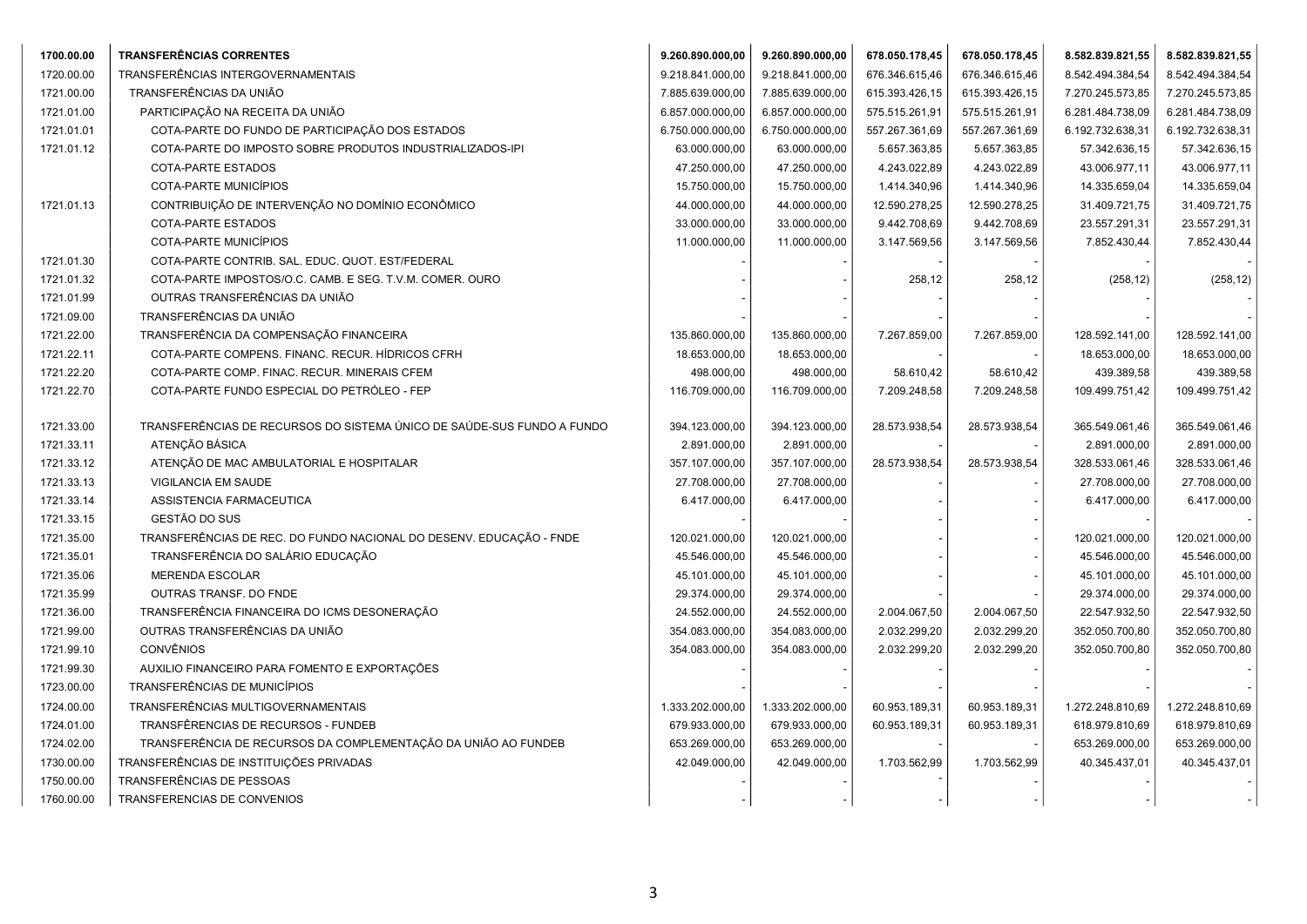| 1700.00.00               | TRANSFERÊNCIAS CORRENTES                                                                 | 9.260.890.000,00                | 9.260.890.000,00               | 678.050.178,45 | 678.050.178,45 | 8.582.839.821,55                | 8.582.839.821,55                |
|--------------------------|------------------------------------------------------------------------------------------|---------------------------------|--------------------------------|----------------|----------------|---------------------------------|---------------------------------|
| 1720.00.00               | TRANSFERÊNCIAS INTERGOVERNAMENTAIS                                                       | 9.218.841.000,00                | 9.218.841.000,00               | 676.346.615,46 | 676.346.615,46 | 8.542.494.384,54                | 8.542.494.384,54                |
| 1721.00.00               | TRANSFERÊNCIAS DA UNIÃO                                                                  | 7.885.639.000,00                | 7.885.639.000,00               | 615.393.426,15 | 615.393.426,15 | 7.270.245.573,85                | 7.270.245.573,85                |
| 1721.01.00               | PARTICIPAÇÃO NA RECEITA DA UNIÃO                                                         | 6.857.000.000,00                | 6.857.000.000,00               | 575.515.261,91 | 575.515.261,91 | 6.281.484.738,09                | 6.281.484.738,09                |
| 1721.01.01               | COTA-PARTE DO FUNDO DE PARTICIPAÇÃO DOS ESTADOS                                          | 6.750.000.000,00                | 6.750.000.000,00               | 557.267.361,69 | 557.267.361,69 | 6.192.732.638,31                | 6.192.732.638,31                |
| 1721.01.12               | COTA-PARTE DO IMPOSTO SOBRE PRODUTOS INDUSTRIALIZADOS-IPI                                | 63.000.000,00                   | 63.000.000,00                  | 5.657.363,85   | 5.657.363,85   | 57.342.636,15                   | 57.342.636,15                   |
|                          | COTA-PARTE ESTADOS                                                                       | 47.250.000,00                   | 47.250.000,00                  | 4.243.022,89   | 4.243.022,89   | 43.006.977,11                   | 43.006.977,11                   |
|                          | COTA-PARTE MUNICÍPIOS                                                                    | 15.750.000,00                   | 15.750.000,00                  | 1.414.340,96   | 1.414.340,96   | 14.335.659,04                   | 14.335.659,04                   |
| 1721.01.13               | CONTRIBUIÇÃO DE INTERVENÇÃO NO DOMÍNIO ECONÔMICO                                         | 44.000.000,00                   | 44.000.000,00                  | 12.590.278,25  | 12.590.278,25  | 31.409.721,75                   | 31.409.721,75                   |
|                          | <b>COTA-PARTE ESTADOS</b>                                                                | 33.000.000,00                   | 33.000.000,00                  | 9.442.708,69   | 9.442.708,69   | 23.557.291,31                   | 23.557.291,31                   |
|                          | COTA-PARTE MUNICÍPIOS                                                                    | 11.000.000,00                   | 11.000.000,00                  | 3.147.569,56   | 3.147.569,56   | 7.852.430,44                    | 7.852.430,44                    |
| 1721.01.30               | COTA-PARTE CONTRIB. SAL. EDUC. QUOT. EST/FEDERAL                                         |                                 |                                |                |                |                                 |                                 |
| 1721.01.32               | COTA-PARTE IMPOSTOS/O.C. CAMB. E SEG. T.V.M. COMER. OURO                                 |                                 |                                | 258,12         | 258,12         | (258, 12)                       | (258, 12)                       |
| 1721.01.99               | OUTRAS TRANSFERÊNCIAS DA UNIÃO                                                           |                                 |                                |                |                |                                 |                                 |
| 1721.09.00               | TRANSFERÊNCIAS DA UNIÃO                                                                  |                                 |                                |                |                |                                 |                                 |
| 1721.22.00               | TRANSFERÊNCIA DA COMPENSAÇÃO FINANCEIRA                                                  | 135.860.000,00                  | 135.860.000,00                 | 7.267.859,00   | 7.267.859,00   | 128.592.141,00                  | 128.592.141,00                  |
| 1721.22.11               | COTA-PARTE COMPENS. FINANC. RECUR. HÍDRICOS CFRH                                         | 18.653.000,00                   | 18.653.000,00                  |                |                | 18.653.000,00                   | 18.653.000,00                   |
| 1721.22.20               | COTA-PARTE COMP. FINAC. RECUR. MINERAIS CFEM                                             | 498.000,00                      | 498.000,00                     | 58.610,42      | 58.610,42      | 439.389,58                      | 439.389,58                      |
| 1721.22.70               | COTA-PARTE FUNDO ESPECIAL DO PETRÓLEO - FEP                                              | 116.709.000,00                  | 116.709.000,00                 | 7.209.248,58   | 7.209.248,58   | 109.499.751,42                  | 109.499.751,42                  |
|                          |                                                                                          |                                 |                                |                |                |                                 |                                 |
| 1721.33.00               | TRANSFERÊNCIAS DE RECURSOS DO SISTEMA ÚNICO DE SAÚDE-SUS FUNDO A FUNDO<br>ATENÇÃO BÁSICA | 394.123.000,00                  | 394.123.000,00                 | 28.573.938,54  | 28.573.938,54  | 365.549.061,46                  | 365.549.061,46                  |
| 1721.33.11               | ATENÇÃO DE MAC AMBULATORIAL E HOSPITALAR                                                 | 2.891.000,00                    | 2.891.000,00<br>357.107.000,00 |                |                | 2.891.000,00                    | 2.891.000,00                    |
| 1721.33.12<br>1721.33.13 | VIGILANCIA EM SAUDE                                                                      | 357.107.000,00<br>27.708.000,00 | 27.708.000,00                  | 28.573.938,54  | 28.573.938,54  | 328.533.061,46<br>27.708.000,00 | 328.533.061,46<br>27.708.000,00 |
| 1721.33.14               | ASSISTENCIA FARMACEUTICA                                                                 | 6.417.000,00                    | 6.417.000,00                   |                |                | 6.417.000,00                    | 6.417.000,00                    |
| 1721.33.15               | GESTÃO DO SUS                                                                            |                                 |                                |                |                |                                 |                                 |
| 1721.35.00               | TRANSFERÊNCIAS DE REC. DO FUNDO NACIONAL DO DESENV. EDUCAÇÃO - FNDE                      | 120.021.000,00                  | 120.021.000,00                 |                |                | 120.021.000,00                  | 120.021.000,00                  |
| 1721.35.01               | TRANSFERÊNCIA DO SALÁRIO EDUCAÇÃO                                                        | 45.546.000,00                   | 45.546.000,00                  |                |                | 45.546.000,00                   | 45.546.000,00                   |
| 1721.35.06               | <b>MERENDA ESCOLAR</b>                                                                   | 45.101.000,00                   | 45.101.000,00                  |                |                | 45.101.000,00                   | 45.101.000,00                   |
| 1721.35.99               | OUTRAS TRANSF. DO FNDE                                                                   | 29.374.000,00                   | 29.374.000,00                  |                |                | 29.374.000,00                   | 29.374.000,00                   |
| 1721.36.00               | TRANSFERÊNCIA FINANCEIRA DO ICMS DESONERAÇÃO                                             | 24.552.000,00                   | 24.552.000,00                  | 2.004.067,50   | 2.004.067,50   | 22.547.932,50                   | 22.547.932,50                   |
| 1721.99.00               | OUTRAS TRANSFERÊNCIAS DA UNIÃO                                                           | 354.083.000,00                  | 354.083.000,00                 | 2.032.299,20   | 2.032.299,20   | 352.050.700,80                  | 352.050.700,80                  |
| 1721.99.10               | <b>CONVÊNIOS</b>                                                                         | 354.083.000,00                  | 354.083.000,00                 | 2.032.299,20   | 2.032.299,20   | 352.050.700,80                  | 352.050.700,80                  |
| 1721.99.30               | AUXILIO FINANCEIRO PARA FOMENTO E EXPORTAÇÕES                                            |                                 |                                |                |                |                                 |                                 |
| 1723.00.00               | TRANSFERÊNCIAS DE MUNICÍPIOS                                                             |                                 |                                |                |                |                                 |                                 |
| 1724.00.00               | TRANSFERÊNCIAS MULTIGOVERNAMENTAIS                                                       | 1.333.202.000,00                | 1.333.202.000,00               | 60.953.189,31  | 60.953.189,31  | 1.272.248.810,69                | 1.272.248.810,69                |
| 1724.01.00               | TRANSFÊRENCIAS DE RECURSOS - FUNDEB                                                      | 679.933.000,00                  | 679.933.000,00                 | 60.953.189,31  | 60.953.189,31  | 618.979.810,69                  | 618.979.810,69                  |
| 1724.02.00               | TRANSFERÊNCIA DE RECURSOS DA COMPLEMENTAÇÃO DA UNIÃO AO FUNDEB                           | 653.269.000,00                  | 653.269.000,00                 |                |                | 653.269.000,00                  | 653.269.000,00                  |
| 1730.00.00               | TRANSFERÊNCIAS DE INSTITUIÇÕES PRIVADAS                                                  | 42.049.000,00                   | 42.049.000,00                  | 1.703.562,99   | 1.703.562,99   | 40.345.437,01                   | 40.345.437,01                   |
| 1750.00.00               | TRANSFERÊNCIAS DE PESSOAS                                                                |                                 |                                |                |                |                                 |                                 |
| 1760.00.00               | TRANSFERENCIAS DE CONVENIOS                                                              |                                 |                                |                |                |                                 |                                 |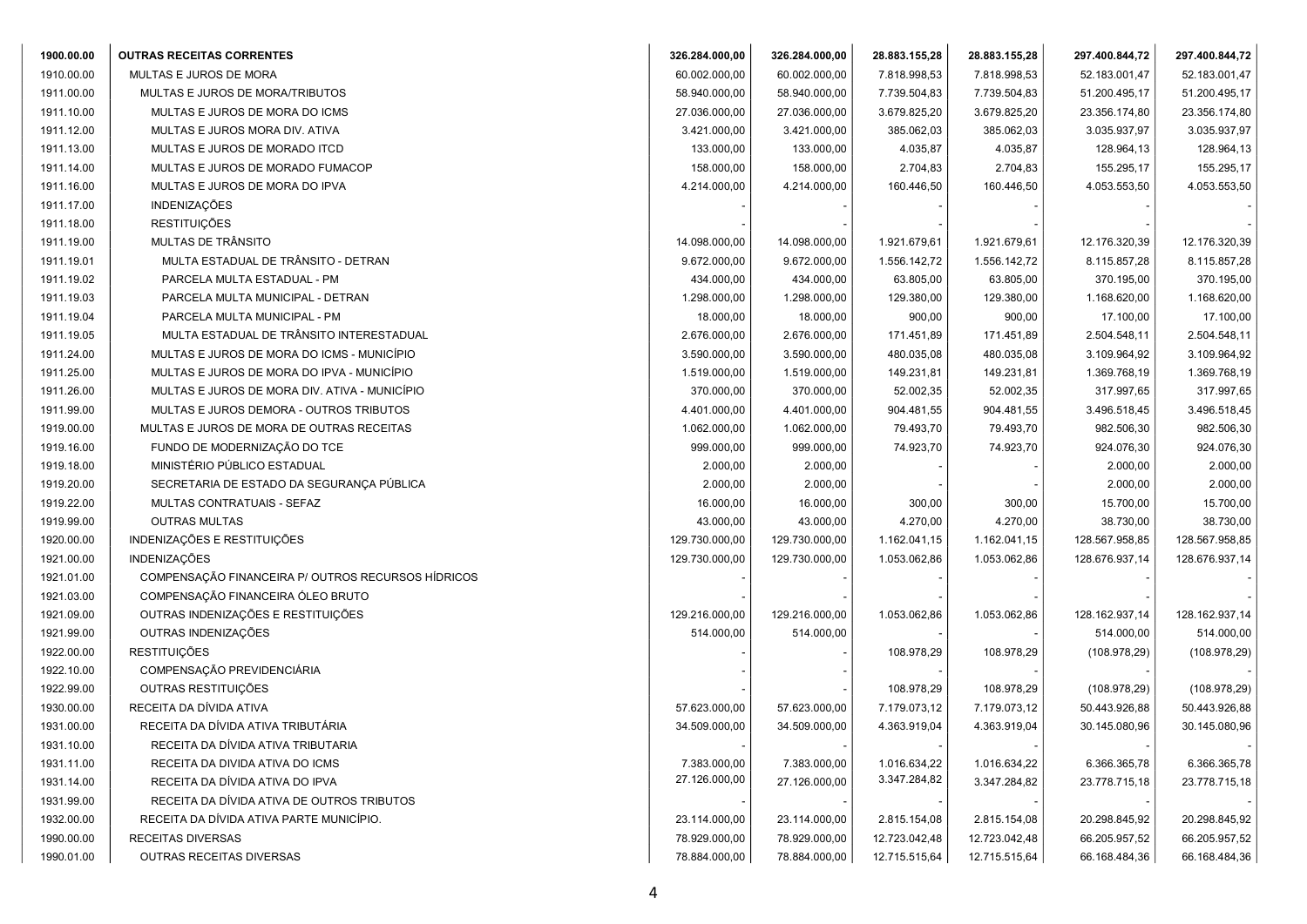| 1900.00.00 | <b>OUTRAS RECEITAS CORRENTES</b>                   | 326.284.000,00 | 326.284.000,00 | 28.883.155,28 | 28.883.155,28 | 297.400.844,72 | 297.400.844,72 |
|------------|----------------------------------------------------|----------------|----------------|---------------|---------------|----------------|----------------|
| 1910.00.00 | MULTAS E JUROS DE MORA                             | 60.002.000,00  | 60.002.000,00  | 7.818.998,53  | 7.818.998,53  | 52.183.001,47  | 52.183.001,47  |
| 1911.00.00 | MULTAS E JUROS DE MORA/TRIBUTOS                    | 58.940.000,00  | 58.940.000,00  | 7.739.504,83  | 7.739.504,83  | 51.200.495,17  | 51.200.495,17  |
| 1911.10.00 | MULTAS E JUROS DE MORA DO ICMS                     | 27.036.000,00  | 27.036.000,00  | 3.679.825,20  | 3.679.825,20  | 23.356.174,80  | 23.356.174,80  |
| 1911.12.00 | MULTAS E JUROS MORA DIV. ATIVA                     | 3.421.000,00   | 3.421.000,00   | 385.062,03    | 385.062,03    | 3.035.937,97   | 3.035.937,97   |
| 1911.13.00 | MULTAS E JUROS DE MORADO ITCD                      | 133.000,00     | 133.000,00     | 4.035,87      | 4.035,87      | 128.964,13     | 128.964,13     |
| 1911.14.00 | MULTAS E JUROS DE MORADO FUMACOP                   | 158.000,00     | 158.000,00     | 2.704,83      | 2.704,83      | 155.295,17     | 155.295,17     |
| 1911.16.00 | MULTAS E JUROS DE MORA DO IPVA                     | 4.214.000,00   | 4.214.000,00   | 160.446,50    | 160.446,50    | 4.053.553,50   | 4.053.553,50   |
| 1911.17.00 | INDENIZAÇÕES                                       |                |                |               |               |                |                |
| 1911.18.00 | <b>RESTITUIÇÕES</b>                                |                |                |               |               |                |                |
| 1911.19.00 | MULTAS DE TRÂNSITO                                 | 14.098.000,00  | 14.098.000,00  | 1.921.679,61  | 1.921.679,61  | 12.176.320,39  | 12.176.320,39  |
| 1911.19.01 | MULTA ESTADUAL DE TRÂNSITO - DETRAN                | 9.672.000,00   | 9.672.000,00   | 1.556.142,72  | 1.556.142,72  | 8.115.857,28   | 8.115.857,28   |
| 1911.19.02 | PARCELA MULTA ESTADUAL - PM                        | 434.000,00     | 434.000,00     | 63.805,00     | 63.805,00     | 370.195,00     | 370.195,00     |
| 1911.19.03 | PARCELA MULTA MUNICIPAL - DETRAN                   | 1.298.000,00   | 1.298.000,00   | 129.380,00    | 129.380,00    | 1.168.620,00   | 1.168.620,00   |
| 1911.19.04 | PARCELA MULTA MUNICIPAL - PM                       | 18.000,00      | 18.000,00      | 900,00        | 900,00        | 17.100,00      | 17.100,00      |
| 1911.19.05 | MULTA ESTADUAL DE TRÂNSITO INTERESTADUAL           | 2.676.000,00   | 2.676.000,00   | 171.451,89    | 171.451,89    | 2.504.548,11   | 2.504.548,11   |
| 1911.24.00 | MULTAS E JUROS DE MORA DO ICMS - MUNICÍPIO         | 3.590.000,00   | 3.590.000,00   | 480.035,08    | 480.035,08    | 3.109.964,92   | 3.109.964,92   |
| 1911.25.00 | MULTAS E JUROS DE MORA DO IPVA - MUNICÍPIO         | 1.519.000,00   | 1.519.000,00   | 149.231,81    | 149.231,81    | 1.369.768,19   | 1.369.768,19   |
| 1911.26.00 | MULTAS E JUROS DE MORA DIV. ATIVA - MUNICÍPIO      | 370.000,00     | 370.000,00     | 52.002,35     | 52.002,35     | 317.997,65     | 317.997,65     |
| 1911.99.00 | MULTAS E JUROS DEMORA - OUTROS TRIBUTOS            | 4.401.000,00   | 4.401.000,00   | 904.481,55    | 904.481,55    | 3.496.518,45   | 3.496.518,45   |
| 1919.00.00 | MULTAS E JUROS DE MORA DE OUTRAS RECEITAS          | 1.062.000,00   | 1.062.000,00   | 79.493,70     | 79.493,70     | 982.506,30     | 982.506,30     |
| 1919.16.00 | FUNDO DE MODERNIZAÇÃO DO TCE                       | 999.000,00     | 999.000,00     | 74.923,70     | 74.923,70     | 924.076,30     | 924.076,30     |
| 1919.18.00 | MINISTÉRIO PÚBLICO ESTADUAL                        | 2.000,00       | 2.000,00       |               |               | 2.000,00       | 2.000,00       |
| 1919.20.00 | SECRETARIA DE ESTADO DA SEGURANÇA PÚBLICA          | 2.000,00       | 2.000,00       |               |               | 2.000,00       | 2.000,00       |
| 1919.22.00 | MULTAS CONTRATUAIS - SEFAZ                         | 16.000,00      | 16.000,00      | 300,00        | 300,00        | 15.700,00      | 15.700,00      |
| 1919.99.00 | <b>OUTRAS MULTAS</b>                               | 43.000,00      | 43.000,00      | 4.270,00      | 4.270,00      | 38.730,00      | 38.730,00      |
| 1920.00.00 | INDENIZAÇÕES E RESTITUIÇÕES                        | 129.730.000,00 | 129.730.000,00 | 1.162.041,15  | 1.162.041,15  | 128.567.958,85 | 128.567.958,85 |
| 1921.00.00 | <b>INDENIZAÇÕES</b>                                | 129.730.000,00 | 129.730.000,00 | 1.053.062,86  | 1.053.062,86  | 128.676.937,14 | 128.676.937,14 |
| 1921.01.00 | COMPENSAÇÃO FINANCEIRA P/ OUTROS RECURSOS HÍDRICOS |                |                |               |               |                |                |
| 1921.03.00 | COMPENSAÇÃO FINANCEIRA ÓLEO BRUTO                  |                |                |               |               |                |                |
| 1921.09.00 | OUTRAS INDENIZAÇÕES E RESTITUIÇÕES                 | 129.216.000,00 | 129.216.000,00 | 1.053.062,86  | 1.053.062,86  | 128.162.937,14 | 128.162.937,14 |
| 1921.99.00 | OUTRAS INDENIZAÇÕES                                | 514.000,00     | 514.000,00     |               |               | 514.000,00     | 514.000,00     |
| 1922.00.00 | <b>RESTITUIÇÕES</b>                                |                |                | 108.978,29    | 108.978,29    | (108.978,29)   | (108.978, 29)  |
| 1922.10.00 | COMPENSAÇÃO PREVIDENCIÁRIA                         |                |                |               |               |                |                |
| 1922.99.00 | OUTRAS RESTITUIÇÕES                                |                |                | 108.978,29    | 108.978,29    | (108.978,29)   | (108.978, 29)  |
| 1930.00.00 | RECEITA DA DÍVIDA ATIVA                            | 57.623.000,00  | 57.623.000,00  | 7.179.073,12  | 7.179.073,12  | 50.443.926,88  | 50.443.926,88  |
| 1931.00.00 | RECEITA DA DÍVIDA ATIVA TRIBUTÁRIA                 | 34.509.000,00  | 34.509.000,00  | 4.363.919,04  | 4.363.919,04  | 30.145.080,96  | 30.145.080,96  |
| 1931.10.00 | RECEITA DA DIVIDA ATIVA TRIBUTARIA                 |                |                |               |               |                |                |
| 1931.11.00 | RECEITA DA DIVIDA ATIVA DO ICMS                    | 7.383.000,00   | 7.383.000,00   | 1.016.634,22  | 1.016.634,22  | 6.366.365,78   | 6.366.365,78   |
| 1931.14.00 | RECEITA DA DÍVIDA ATIVA DO IPVA                    | 27.126.000,00  | 27.126.000,00  | 3.347.284,82  | 3.347.284,82  | 23.778.715,18  | 23.778.715,18  |
| 1931.99.00 | RECEITA DA DÍVIDA ATIVA DE OUTROS TRIBUTOS         |                |                |               |               |                |                |
| 1932.00.00 | RECEITA DA DÍVIDA ATIVA PARTE MUNICÍPIO.           | 23.114.000,00  | 23.114.000,00  | 2.815.154,08  | 2.815.154,08  | 20.298.845,92  | 20.298.845,92  |
| 1990.00.00 | RECEITAS DIVERSAS                                  | 78.929.000,00  | 78.929.000,00  | 12.723.042,48 | 12.723.042,48 | 66.205.957,52  | 66.205.957,52  |
| 1990.01.00 | OUTRAS RECEITAS DIVERSAS                           | 78.884.000,00  | 78.884.000,00  | 12.715.515,64 | 12.715.515,64 | 66.168.484,36  | 66.168.484,36  |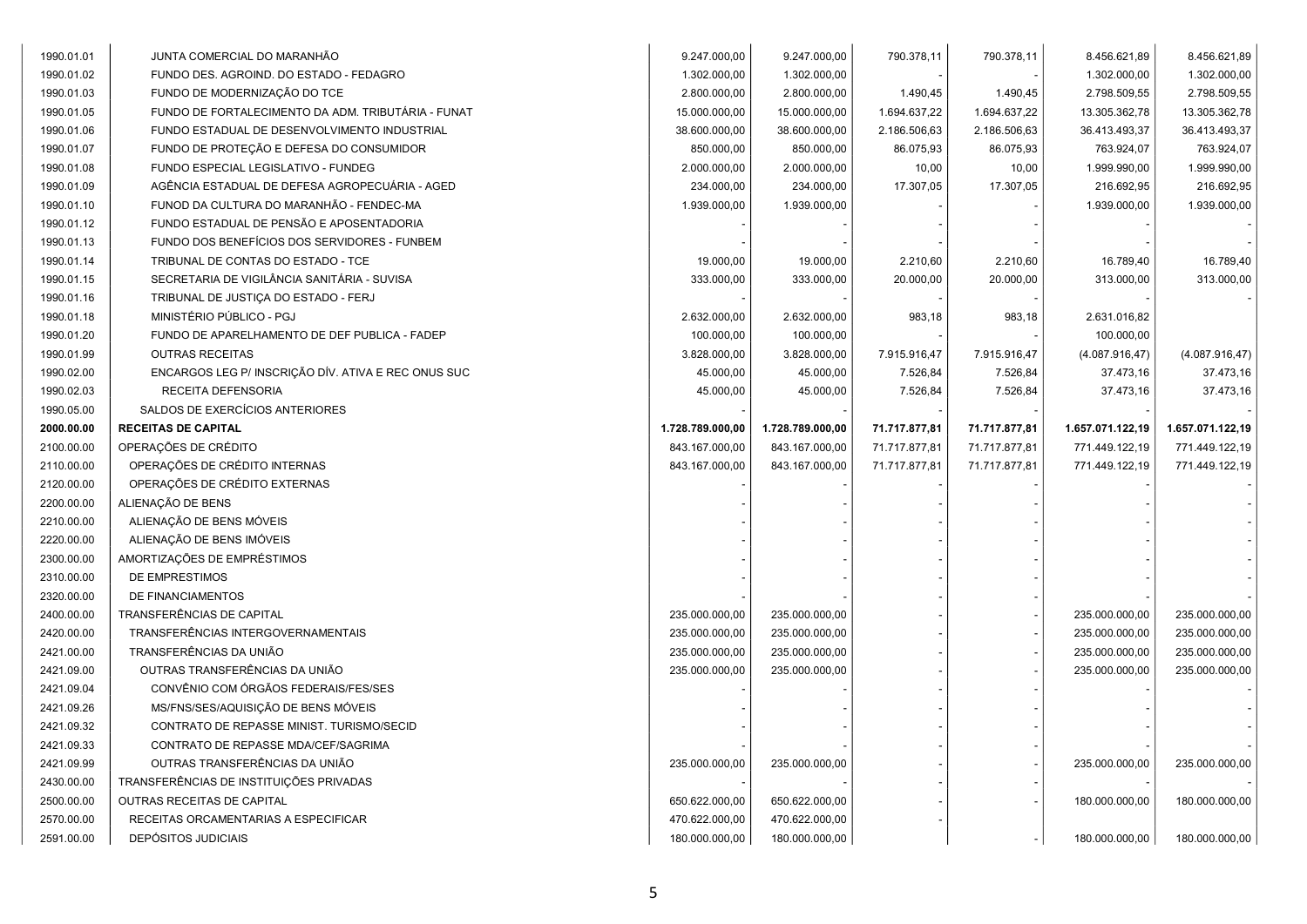| 1990.01.01 | JUNTA COMERCIAL DO MARANHÃO                         | 9.247.000,00     | 9.247.000,00     | 790.378,11    | 790.378,11    | 8.456.621,89     | 8.456.621,89     |
|------------|-----------------------------------------------------|------------------|------------------|---------------|---------------|------------------|------------------|
| 1990.01.02 | FUNDO DES. AGROIND. DO ESTADO - FEDAGRO             | 1.302.000,00     | 1.302.000,00     |               |               | 1.302.000,00     | 1.302.000,00     |
| 1990.01.03 | FUNDO DE MODERNIZAÇÃO DO TCE                        | 2.800.000,00     | 2.800.000,00     | 1.490,45      | 1.490,45      | 2.798.509,55     | 2.798.509,55     |
| 1990.01.05 | FUNDO DE FORTALECIMENTO DA ADM. TRIBUTÁRIA - FUNAT  | 15.000.000,00    | 15.000.000,00    | 1.694.637,22  | 1.694.637,22  | 13.305.362,78    | 13.305.362,78    |
| 1990.01.06 | FUNDO ESTADUAL DE DESENVOLVIMENTO INDUSTRIAL        | 38.600.000,00    | 38.600.000,00    | 2.186.506,63  | 2.186.506,63  | 36.413.493,37    | 36.413.493,37    |
| 1990.01.07 | FUNDO DE PROTEÇÃO E DEFESA DO CONSUMIDOR            | 850.000,00       | 850.000,00       | 86.075,93     | 86.075,93     | 763.924,07       | 763.924,07       |
| 1990.01.08 | FUNDO ESPECIAL LEGISLATIVO - FUNDEG                 | 2.000.000,00     | 2.000.000,00     | 10,00         | 10,00         | 1.999.990,00     | 1.999.990,00     |
| 1990.01.09 | AGÊNCIA ESTADUAL DE DEFESA AGROPECUÁRIA - AGED      | 234.000,00       | 234.000,00       | 17.307,05     | 17.307,05     | 216.692,95       | 216.692,95       |
| 1990.01.10 | FUNOD DA CULTURA DO MARANHÃO - FENDEC-MA            | 1.939.000,00     | 1.939.000,00     |               |               | 1.939.000,00     | 1.939.000,00     |
| 1990.01.12 | FUNDO ESTADUAL DE PENSÃO E APOSENTADORIA            |                  |                  |               |               |                  |                  |
| 1990.01.13 | FUNDO DOS BENEFÍCIOS DOS SERVIDORES - FUNBEM        |                  |                  |               |               |                  |                  |
| 1990.01.14 | TRIBUNAL DE CONTAS DO ESTADO - TCE                  | 19.000,00        | 19.000,00        | 2.210,60      | 2.210,60      | 16.789,40        | 16.789,40        |
| 1990.01.15 | SECRETARIA DE VIGILÂNCIA SANITÁRIA - SUVISA         | 333.000,00       | 333.000,00       | 20.000,00     | 20.000,00     | 313.000,00       | 313.000,00       |
| 1990.01.16 | TRIBUNAL DE JUSTICA DO ESTADO - FERJ                |                  |                  |               |               |                  |                  |
| 1990.01.18 | MINISTÉRIO PÚBLICO - PGJ                            | 2.632.000,00     | 2.632.000,00     | 983,18        | 983,18        | 2.631.016,82     |                  |
| 1990.01.20 | FUNDO DE APARELHAMENTO DE DEF PUBLICA - FADEP       | 100.000,00       | 100.000,00       |               |               | 100.000,00       |                  |
| 1990.01.99 | <b>OUTRAS RECEITAS</b>                              | 3.828.000,00     | 3.828.000,00     | 7.915.916,47  | 7.915.916,47  | (4.087.916, 47)  | (4.087.916, 47)  |
| 1990.02.00 | ENCARGOS LEG P/ INSCRIÇÃO DÍV. ATIVA E REC ONUS SUC | 45.000,00        | 45.000,00        | 7.526,84      | 7.526,84      | 37.473,16        | 37.473,16        |
| 1990.02.03 | RECEITA DEFENSORIA                                  | 45.000,00        | 45.000,00        | 7.526,84      | 7.526,84      | 37.473,16        | 37.473,16        |
| 1990.05.00 | SALDOS DE EXERCÍCIOS ANTERIORES                     |                  |                  |               |               |                  |                  |
| 2000.00.00 | <b>RECEITAS DE CAPITAL</b>                          | 1.728.789.000,00 | 1.728.789.000,00 | 71.717.877,81 | 71.717.877,81 | 1.657.071.122,19 | 1.657.071.122,19 |
| 2100.00.00 | OPERAÇÕES DE CRÉDITO                                | 843.167.000,00   | 843.167.000,00   | 71.717.877,81 | 71.717.877,81 | 771.449.122,19   | 771.449.122,19   |
| 2110.00.00 | OPERAÇÕES DE CRÉDITO INTERNAS                       | 843.167.000,00   | 843.167.000,00   | 71.717.877,81 | 71.717.877,81 | 771.449.122,19   | 771.449.122,19   |
| 2120.00.00 | OPERAÇÕES DE CRÉDITO EXTERNAS                       |                  |                  |               |               |                  |                  |
| 2200.00.00 | ALIENAÇÃO DE BENS                                   |                  |                  |               |               |                  |                  |
| 2210.00.00 | ALIENAÇÃO DE BENS MÓVEIS                            |                  |                  |               |               |                  |                  |
| 2220.00.00 | ALIENAÇÃO DE BENS IMÓVEIS                           |                  |                  |               |               |                  |                  |
| 2300.00.00 | AMORTIZAÇÕES DE EMPRÉSTIMOS                         |                  |                  |               |               |                  |                  |
| 2310.00.00 | DE EMPRESTIMOS                                      |                  |                  |               |               |                  |                  |
| 2320.00.00 | DE FINANCIAMENTOS                                   |                  |                  |               |               |                  |                  |
| 2400.00.00 | TRANSFERÊNCIAS DE CAPITAL                           | 235.000.000,00   | 235.000.000,00   |               |               | 235.000.000,00   | 235.000.000,00   |
| 2420.00.00 | TRANSFERÊNCIAS INTERGOVERNAMENTAIS                  | 235.000.000,00   | 235.000.000,00   |               |               | 235.000.000,00   | 235.000.000,00   |
| 2421.00.00 | TRANSFERÊNCIAS DA UNIÃO                             | 235.000.000,00   | 235.000.000,00   |               |               | 235.000.000,00   | 235.000.000,00   |
| 2421.09.00 | OUTRAS TRANSFERÊNCIAS DA UNIÃO                      | 235.000.000,00   | 235.000.000,00   |               |               | 235.000.000,00   | 235.000.000,00   |
| 2421.09.04 | CONVÊNIO COM ÓRGÃOS FEDERAIS/FES/SES                |                  |                  |               |               |                  |                  |
| 2421.09.26 | MS/FNS/SES/AQUISIÇÃO DE BENS MÓVEIS                 |                  |                  |               |               |                  |                  |
| 2421.09.32 | CONTRATO DE REPASSE MINIST. TURISMO/SECID           |                  |                  |               |               |                  |                  |
| 2421.09.33 | CONTRATO DE REPASSE MDA/CEF/SAGRIMA                 |                  |                  |               |               |                  |                  |
| 2421.09.99 | OUTRAS TRANSFERÊNCIAS DA UNIÃO                      | 235.000.000,00   | 235.000.000,00   |               |               | 235.000.000,00   | 235.000.000,00   |
| 2430.00.00 | TRANSFERÊNCIAS DE INSTITUIÇÕES PRIVADAS             |                  |                  |               |               |                  |                  |
| 2500.00.00 |                                                     |                  |                  |               |               |                  |                  |
|            | OUTRAS RECEITAS DE CAPITAL                          | 650.622.000,00   | 650.622.000,00   |               |               | 180.000.000,00   | 180.000.000,00   |
| 2570.00.00 | RECEITAS ORCAMENTARIAS A ESPECIFICAR                | 470.622.000,00   | 470.622.000,00   |               |               |                  |                  |